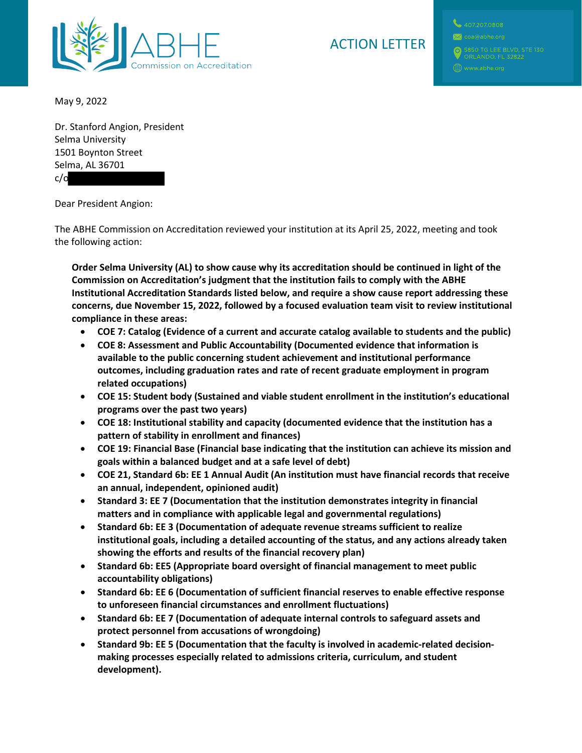

## ACTION LETTER

May 9, 2022

Dr. Stanford Angion, President Selma University 1501 Boynton Street Selma, AL 36701 c/o

Dear President Angion:

The ABHE Commission on Accreditation reviewed your institution at its April 25, 2022, meeting and took the following action:

**Order Selma University (AL) to show cause why its accreditation should be continued in light of the Commission on Accreditation's judgment that the institution fails to comply with the ABHE Institutional Accreditation Standards listed below, and require a show cause report addressing these concerns, due November 15, 2022, followed by a focused evaluation team visit to review institutional compliance in these areas:**

- **COE 7: Catalog (Evidence of a current and accurate catalog available to students and the public)**
- **COE 8: Assessment and Public Accountability (Documented evidence that information is available to the public concerning student achievement and institutional performance outcomes, including graduation rates and rate of recent graduate employment in program related occupations)**
- **COE 15: Student body (Sustained and viable student enrollment in the institution's educational programs over the past two years)**
- **COE 18: Institutional stability and capacity (documented evidence that the institution has a pattern of stability in enrollment and finances)**
- **COE 19: Financial Base (Financial base indicating that the institution can achieve its mission and goals within a balanced budget and at a safe level of debt)**
- **COE 21, Standard 6b: EE 1 Annual Audit (An institution must have financial records that receive an annual, independent, opinioned audit)**
- **Standard 3: EE 7 (Documentation that the institution demonstrates integrity in financial matters and in compliance with applicable legal and governmental regulations)**
- **Standard 6b: EE 3 (Documentation of adequate revenue streams sufficient to realize institutional goals, including a detailed accounting of the status, and any actions already taken showing the efforts and results of the financial recovery plan)**
- **Standard 6b: EE5 (Appropriate board oversight of financial management to meet public accountability obligations)**
- **Standard 6b: EE 6 (Documentation of sufficient financial reserves to enable effective response to unforeseen financial circumstances and enrollment fluctuations)**
- **Standard 6b: EE 7 (Documentation of adequate internal controls to safeguard assets and protect personnel from accusations of wrongdoing)**
- **Standard 9b: EE 5 (Documentation that the faculty is involved in academic-related decisionmaking processes especially related to admissions criteria, curriculum, and student development).**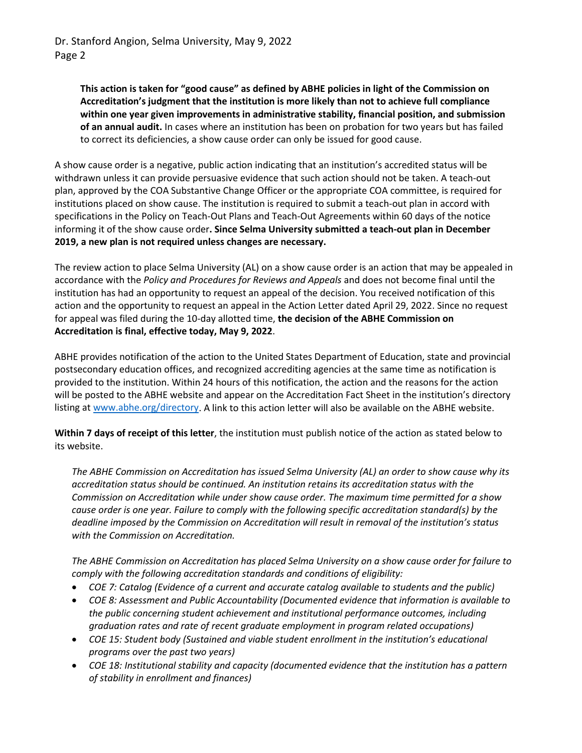**This action is taken for "good cause" as defined by ABHE policies in light of the Commission on Accreditation's judgment that the institution is more likely than not to achieve full compliance within one year given improvements in administrative stability, financial position, and submission of an annual audit.** In cases where an institution has been on probation for two years but has failed to correct its deficiencies, a show cause order can only be issued for good cause.

A show cause order is a negative, public action indicating that an institution's accredited status will be withdrawn unless it can provide persuasive evidence that such action should not be taken. A teach-out plan, approved by the COA Substantive Change Officer or the appropriate COA committee, is required for institutions placed on show cause. The institution is required to submit a teach-out plan in accord with specifications in the Policy on Teach-Out Plans and Teach-Out Agreements within 60 days of the notice informing it of the show cause order**. Since Selma University submitted a teach-out plan in December 2019, a new plan is not required unless changes are necessary.**

The review action to place Selma University (AL) on a show cause order is an action that may be appealed in accordance with the *Policy and Procedures for Reviews and Appeals* and does not become final until the institution has had an opportunity to request an appeal of the decision. You received notification of this action and the opportunity to request an appeal in the Action Letter dated April 29, 2022. Since no request for appeal was filed during the 10-day allotted time, **the decision of the ABHE Commission on Accreditation is final, effective today, May 9, 2022**.

ABHE provides notification of the action to the United States Department of Education, state and provincial postsecondary education offices, and recognized accrediting agencies at the same time as notification is provided to the institution. Within 24 hours of this notification, the action and the reasons for the action will be posted to the ABHE website and appear on the Accreditation Fact Sheet in the institution's directory listing at [www.abhe.org/directory.](http://www.abhe.org/directory) A link to this action letter will also be available on the ABHE website.

**Within 7 days of receipt of this letter**, the institution must publish notice of the action as stated below to its website.

*The ABHE Commission on Accreditation has issued Selma University (AL) an order to show cause why its accreditation status should be continued. An institution retains its accreditation status with the Commission on Accreditation while under show cause order. The maximum time permitted for a show cause order is one year. Failure to comply with the following specific accreditation standard(s) by the deadline imposed by the Commission on Accreditation will result in removal of the institution's status with the Commission on Accreditation.*

*The ABHE Commission on Accreditation has placed Selma University on a show cause order for failure to comply with the following accreditation standards and conditions of eligibility:*

- *COE 7: Catalog (Evidence of a current and accurate catalog available to students and the public)*
- *COE 8: Assessment and Public Accountability (Documented evidence that information is available to the public concerning student achievement and institutional performance outcomes, including graduation rates and rate of recent graduate employment in program related occupations)*
- *COE 15: Student body (Sustained and viable student enrollment in the institution's educational programs over the past two years)*
- *COE 18: Institutional stability and capacity (documented evidence that the institution has a pattern of stability in enrollment and finances)*